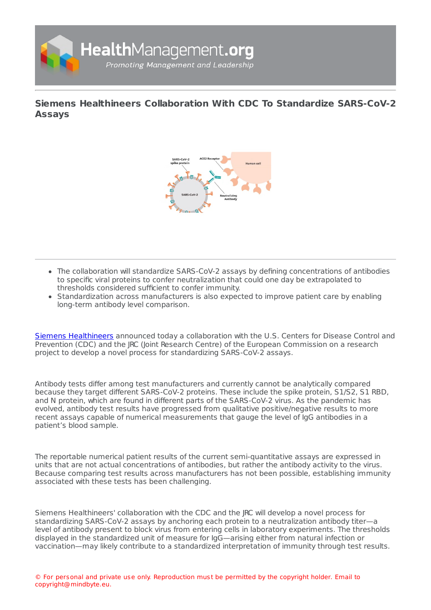

**Siemens Healthineers [Collaboration](https://healthmanagement.org/s/siemens-healthineers-collaboration-with-cdc-to-standardize-sars-cov-2-assays-1) With CDC To Standardize SARS-CoV-2 Assays**



- The collaboration will standardize SARS-CoV-2 assays by defining concentrations of antibodies to specific viral proteins to confer neutralization that could one day be extrapolated to thresholds considered sufficient to confer immunity.
- Standardization across manufacturers is also expected to improve patient care by enabling long-term antibody level comparison.

Siemens [Healthineers](https://healthmanagement.org/site/p/siemens-healthineers) announced today a collaboration with the U.S. Centers for Disease Control and Prevention (CDC) and the JRC (Joint Research Centre) of the European Commission on a research project to develop a novel process for standardizing SARS-CoV-2 assays.

Antibody tests differ among test manufacturers and currently cannot be analytically compared because they target different SARS-CoV-2 proteins. These include the spike protein, S1/S2, S1 RBD, and N protein, which are found in different parts of the SARS-CoV-2 virus. As the pandemic has evolved, antibody test results have progressed from qualitative positive/negative results to more recent assays capable of numerical measurements that gauge the level of IgG antibodies in a patient's blood sample.

The reportable numerical patient results of the current semi-quantitative assays are expressed in units that are not actual concentrations of antibodies, but rather the antibody activity to the virus. Because comparing test results across manufacturers has not been possible, establishing immunity associated with these tests has been challenging.

Siemens Healthineers' collaboration with the CDC and the JRC will develop a novel process for standardizing SARS-CoV-2 assays by anchoring each protein to a neutralization antibody titer—a level of antibody present to block virus from entering cells in laboratory experiments. The thresholds displayed in the standardized unit of measure for IgG—arising either from natural infection or vaccination—may likely contribute to a standardized interpretation of immunity through test results.